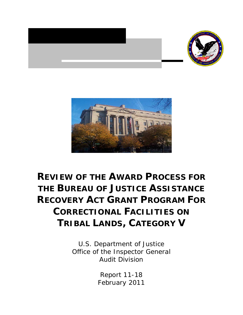



# **REVIEW OF THE AWARD PROCESS FOR THE BUREAU OF JUSTICE ASSISTANCE RECOVERY ACT GRANT PROGRAM FOR CORRECTIONAL FACILITIES ON TRIBAL LANDS, CATEGORY V**

U.S. Department of Justice Office of the Inspector General Audit Division

> Report 11-18 February 2011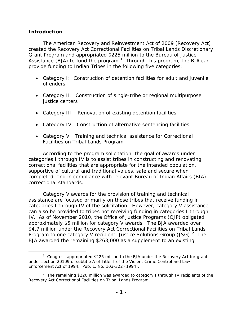## **Introduction**

*The American Recovery and Reinvestment Act of 2009* (Recovery Act) created the Recovery Act Correctional Facilities on Tribal Lands Discretionary Grant Program and appropriated \$225 million to the Bureau of Justice Assistance (BJA) to fund the program.<sup>[1](#page-1-0)</sup> Through this program, the BJA can provide funding to Indian Tribes in the following five categories:

- Category I: Construction of detention facilities for adult and juvenile offenders
- Category II: Construction of single-tribe or regional multipurpose justice centers
- Category III: Renovation of existing detention facilities
- Category IV: Construction of alternative sentencing facilities
- Category V: Training and technical assistance for Correctional Facilities on Tribal Lands Program

According to the program solicitation, the goal of awards under categories I through IV is to assist tribes in constructing and renovating correctional facilities that are appropriate for the intended population, supportive of cultural and traditional values, safe and secure when completed, and in compliance with relevant Bureau of Indian Affairs (BIA) correctional standards.

Category V awards for the provision of training and technical assistance are focused primarily on those tribes that receive funding in categories I through IV of the solicitation. However, category V assistance can also be provided to tribes not receiving funding in categories I through IV. As of November 2010, the Office of Justice Programs (OJP) obligated approximately \$5 million for category V awards. The BJA awarded over \$4.7 million under the Recovery Act Correctional Facilities on Tribal Lands Program to one category V recipient, Justice Solutions Group (JSG). $^2$  $^2$  The BJA awarded the remaining \$263,000 as a supplement to an existing

<span id="page-1-0"></span> $\overline{\phantom{a}}$ <sup>1</sup> Congress appropriated \$225 million to the BJA under the Recovery Act for grants under section 20109 of subtitle A of Title II of the Violent Crime Control and Law Enforcement Act of 1994. Pub. L. No. 103-322 (1994).

<span id="page-1-1"></span><sup>&</sup>lt;sup>2</sup> The remaining \$220 million was awarded to category I through IV recipients of the Recovery Act Correctional Facilities on Tribal Lands Program.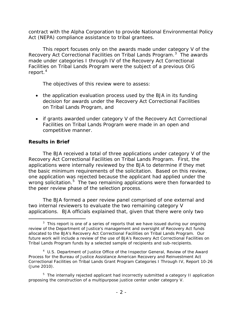contract with the Alpha Corporation to provide National Environmental Policy Act (NEPA) compliance assistance to tribal grantees.

This report focuses only on the awards made under category V of the Recovery Act Correctional Facilities on Tribal Lands Program.<sup>[3](#page-2-0)</sup> The awards made under categories I through IV of the Recovery Act Correctional Facilities on Tribal Lands Program were the subject of a previous OIG report.<sup>[4](#page-2-1)</sup>

The objectives of this review were to assess:

- the application evaluation process used by the BJA in its funding decision for awards under the Recovery Act Correctional Facilities on Tribal Lands Program, and
- if grants awarded under category V of the Recovery Act Correctional Facilities on Tribal Lands Program were made in an open and competitive manner.

# **Results in Brief**

The BJA received a total of three applications under category V of the Recovery Act Correctional Facilities on Tribal Lands Program. First, the applications were internally reviewed by the BJA to determine if they met the basic minimum requirements of the solicitation. Based on this review, one application was rejected because the applicant had applied under the wrong solicitation. $5$  The two remaining applications were then forwarded to the peer review phase of the selection process.

The BJA formed a peer review panel comprised of one external and two internal reviewers to evaluate the two remaining category V applications. BJA officials explained that, given that there were only two

<span id="page-2-0"></span> $\frac{1}{3}$  $3$  This report is one of a series of reports that we have issued during our ongoing review of the Department of Justice's management and oversight of Recovery Act funds allocated to the BJA's Recovery Act Correctional Facilities on Tribal Lands Program. Our future work will include a review of the use of BJA's Recovery Act Correctional Facilities on Tribal Lands Program funds by a selected sample of recipients and sub-recipients.

<span id="page-2-1"></span><sup>4</sup> U.S. Department of Justice Office of the Inspector General, *Review of the Award Process for the Bureau of Justice Assistance American Recovery and Reinvestment Act Correctional Facilities on Tribal Lands Grant Program Categories I Through IV*, Report 10-26 (June 2010).

<span id="page-2-2"></span><sup>&</sup>lt;sup>5</sup> The internally rejected applicant had incorrectly submitted a category II application proposing the construction of a multipurpose justice center under category V.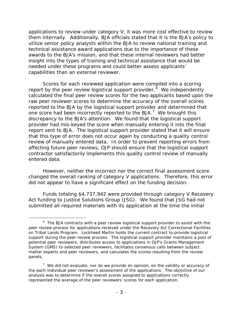applications to review under category V, it was more cost effective to review them internally. Additionally, BJA officials stated that it is the BJA's policy to utilize senior policy analysts within the BJA to review national training and technical assistance award applications due to the importance of these awards to the BJA's mission, and that these internal reviewers had better insight into the types of training and technical assistance that would be needed under these programs and could better assess applicants' capabilities than an external reviewer.

Scores for each reviewed application were compiled into a scoring report by the peer review logistical support provider.<sup>[6](#page-3-0)</sup> We independently calculated the final peer review scores for the two applicants based upon the raw peer reviewer scores to determine the accuracy of the overall scores reported to the BJA by the logistical support provider and determined that one score had been incorrectly reported to the BJA.<sup>[7](#page-3-1)</sup> We brought this discrepancy to the BJA's attention. We found that the logistical support provider had mis-keyed the score when manually entering it into the final report sent to BJA. The logistical support provider stated that it will ensure that this type of error does not occur again by conducting a quality control review of manually entered data. In order to prevent reporting errors from affecting future peer reviews, OJP should ensure that the logistical support contractor satisfactorily implements this quality control review of manually entered data.

However, neither the incorrect nor the correct final assessment score changed the overall ranking of category V applications. Therefore, this error did not appear to have a significant effect on the funding decision.

Funds totaling \$4,737,942 were provided through category V Recovery Act funding to Justice Solutions Group (JSG). We found that JSG had not submitted all required materials with its application at the time the initial

<span id="page-3-0"></span> $\overline{\phantom{0}}$  $6$  The BJA contracts with a peer review logistical support provider to assist with the peer review process for applications received under the Recovery Act Correctional Facilities on Tribal Lands Program. Lockheed Martin holds the current contract to provide logistical support during the peer review process.The logistical support provider maintains a pool of potential peer reviewers, distributes access to applications in OJP's Grants Management System (GMS) to selected peer reviewers, facilitates consensus calls between subject matter experts and peer reviewers, and calculates the scores resulting from the review panels.

<span id="page-3-1"></span> $7$  We did not evaluate, nor do we provide an opinion, on the validity or accuracy of the each individual peer reviewer's assessment of the applications. The objective of our analysis was to determine if the overall scores assigned to applications correctly represented the average of the peer reviewers' scores for each application.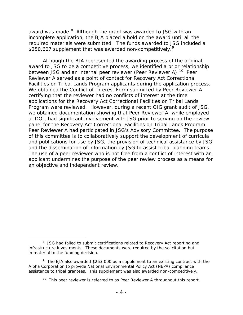award was made.<sup>[8](#page-4-0)</sup> Although the grant was awarded to JSG with an incomplete application, the BJA placed a hold on the award until all the required materials were submitted. The funds awarded to JSG included a \$250,607 supplement that was awarded non-competitively.<sup>[9](#page-4-1)</sup>

Although the BJA represented the awarding process of the original award to JSG to be a competitive process, we identified a prior relationship between JSG and an internal peer reviewer (Peer Reviewer A).<sup>[10](#page-4-2)</sup> Peer Reviewer A served as a point of contact for Recovery Act Correctional Facilities on Tribal Lands Program applicants during the application process. We obtained the Conflict of Interest Form submitted by Peer Reviewer A certifying that the reviewer had no conflicts of interest at the time applications for the Recovery Act Correctional Facilities on Tribal Lands Program were reviewed. However, during a recent OIG grant audit of JSG, we obtained documentation showing that Peer Reviewer A, while employed at DOJ, had significant involvement with JSG prior to serving on the review panel for the Recovery Act Correctional Facilities on Tribal Lands Program. Peer Reviewer A had participated in JSG's Advisory Committee. The purpose of this committee is to collaboratively support the development of curricula and publications for use by JSG, the provision of technical assistance by JSG, and the dissemination of information by JSG to assist tribal planning teams. The use of a peer reviewer who is not free from a conflict of interest with an applicant undermines the purpose of the peer review process as a means for an objective and independent review.

<span id="page-4-0"></span> <sup>8</sup> <sup>8</sup> JSG had failed to submit certifications related to Recovery Act reporting and infrastructure investments. These documents were required by the solicitation but immaterial to the funding decision.

<span id="page-4-2"></span><span id="page-4-1"></span><sup>&</sup>lt;sup>9</sup> The BJA also awarded \$263,000 as a supplement to an existing contract with the Alpha Corporation to provide National Environmental Policy Act (NEPA) compliance assistance to tribal grantees. This supplement was also awarded non-competitively.

 $10$  This peer reviewer is referred to as Peer Reviewer A throughout this report.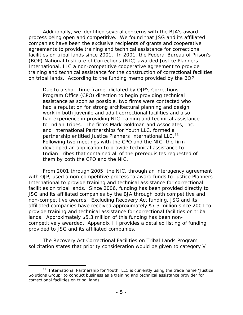Additionally, we identified several concerns with the BJA's award process being open and competitive. We found that JSG and its affiliated companies have been the exclusive recipients of grants and cooperative agreements to provide training and technical assistance for correctional facilities on tribal lands since 2001. In 2001, the Federal Bureau of Prison's (BOP) National Institute of Corrections (NIC) awarded Justice Planners International, LLC a non-competitive cooperative agreement to provide training and technical assistance for the construction of correctional facilities on tribal lands. According to the funding memo provided by the BOP:

Due to a short time frame, dictated by OJP's Corrections Program Office (CPO) direction to begin providing technical assistance as soon as possible, two firms were contacted who had a reputation for strong architectural planning and design work in both juvenile and adult correctional facilities and also had experience in providing NIC training and technical assistance to Indian Tribes. The firms Mark Goldman and Associates, Inc. and International Partnerships for Youth LLC, formed a partnership entitled Justice Planners International LLC.<sup>[11](#page-5-0)</sup> Following two meetings with the CPO and the NIC, the firm developed an application to provide technical assistance to Indian Tribes that contained all of the prerequisites requested of them by both the CPO and the NIC.

From 2001 through 2005, the NIC, through an interagency agreement with OJP, used a non-competitive process to award funds to Justice Planners International to provide training and technical assistance for correctional facilities on tribal lands. Since 2006, funding has been provided directly to JSG and its affiliated companies by the BJA through both competitive and non-competitive awards. Excluding Recovery Act funding, JSG and its affiliated companies have received approximately \$7.3 million since 2001 to provide training and technical assistance for correctional facilities on tribal lands. Approximately \$5.3 million of this funding has been noncompetitively awarded. Appendix III provides a detailed listing of funding provided to JSG and its affiliated companies.

The Recovery Act Correctional Facilities on Tribal Lands Program solicitation states that priority consideration would be given to category V

<span id="page-5-0"></span><sup>&</sup>lt;sup>11</sup> International Partnership for Youth, LLC is currently using the trade name "Justice Solutions Group" to conduct business as a training and technical assistance provider for correctional facilities on tribal lands.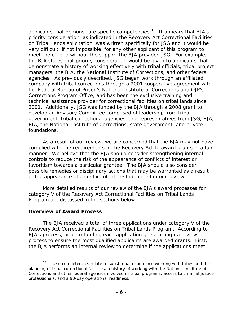applicants that demonstrate specific competencies.<sup>[12](#page-6-0)</sup> It appears that BJA's priority consideration, as indicated in the Recovery Act Correctional Facilities on Tribal Lands solicitation, was written specifically for JSG and it would be very difficult, if not impossible, for any other applicant of this program to meet the criteria without the support the BJA provided JSG. For example, the BJA states that priority consideration would be given to applicants that demonstrate a history of working effectively with tribal officials, tribal project managers, the BIA, the National Institute of Corrections, and other federal agencies. As previously described, JSG began work through an affiliated company with tribal corrections through a 2001 cooperative agreement with the Federal Bureau of Prison's National Institute of Corrections and OJP's Corrections Program Office, and has been the exclusive training and technical assistance provider for correctional facilities on tribal lands since 2001. Additionally, JSG was funded by the BJA through a 2008 grant to develop an Advisory Committee comprised of leadership from tribal government, tribal correctional agencies, and representatives from JSG, BJA, BIA, the National Institute of Corrections, state government, and private foundations.

As a result of our review, we are concerned that the BJA may not have complied with the requirements in the Recovery Act to award grants in a fair manner. We believe that the BJA should consider strengthening internal controls to reduce the risk of the appearance of conflicts of interest or favoritism towards a particular grantee. The BJA should also consider possible remedies or disciplinary actions that may be warranted as a result of the appearance of a conflict of interest identified in our review.

More detailed results of our review of the BJA's award processes for category V of the Recovery Act Correctional Facilities on Tribal Lands Program are discussed in the sections below.

#### **Overview of Award Process**

The BJA received a total of three applications under category V of the Recovery Act Correctional Facilities on Tribal Lands Program. According to BJA's process, prior to funding each application goes through a review process to ensure the most qualified applicants are awarded grants. First, the BJA performs an internal review to determine if the applications meet

<span id="page-6-0"></span> $12$  These competencies relate to substantial experience working with tribes and the planning of tribal correctional facilities, a history of working with the National Institute of Corrections and other federal agencies involved in tribal programs, access to criminal justice professionals, and a 90-day operational readiness.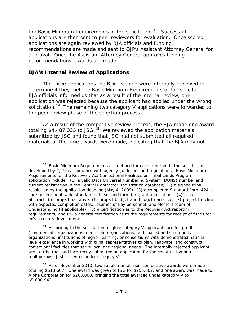the Basic Minimum Requirements of the solicitation.<sup>[13](#page-7-0)</sup> Successful applications are then sent to peer reviewers for evaluation. Once scored, applications are again reviewed by BJA officials and funding recommendations are made and sent to OJP's Assistant Attorney General for approval. Once the Assistant Attorney General approves funding recommendations, awards are made.

## **BJA's Internal Review of Applications**

The three applications the BJA received were internally reviewed to determine if they met the Basic Minimum Requirements of the solicitation. BJA officials informed us that as a result of the internal review, one application was rejected because the applicant had applied under the wrong solicitation.<sup>[14](#page-7-1)</sup> The remaining two category V applications were forwarded to the peer review phase of the selection process.

As a result of the competitive review process, the BJA made one award totaling \$4,487,335 to JSG.<sup>[15](#page-7-2)</sup> We reviewed the application materials submitted by JSG and found that JSG had not submitted all required materials at the time awards were made, indicating that the BJA may not

<span id="page-7-0"></span> $13$  Basic Minimum Requirements are defined for each program in the solicitation developed by OJP in accordance with agency guidelines and regulations. Basic Minimum Requirements for the Recovery Act Correctional Facilities on Tribal Lands Program solicitation include: (1) a valid Data Universal Numbering System (DUNS) number and current registration in the Central Contractor Registration database; (2) a signed tribal resolution by the application deadline (May 4, 2009); (3) a completed Standard Form 424, a core government-wide standard data set and form for grant applications; (4) project abstract; (5) project narrative; (6) project budget and budget narrative; (7) project timeline with expected completion dates, resumes of key personnel, and Memorandum of Understanding (if applicable); (8) a certification as to the Recovery Act reporting requirements; and (9) a general certification as to the requirements for receipt of funds for infrastructure investments.

<span id="page-7-1"></span> $14$  According to the solicitation, eligible category V applicants are for-profit (commercial) organizations, non-profit organizations, faith-based and community organizations, institutions of higher learning, or consortiums with demonstrated national level experience in working with tribal representatives to plan, renovate, and construct correctional facilities that serve local and regional needs. The internally rejected applicant was a tribe that had incorrectly submitted an application for the construction of a multipurpose justice center under category V.

<span id="page-7-2"></span> $15$  As of November 2010, two supplemental, non-competitive awards were made totaling \$513,607. One award was given to JSG for \$250,607, and one award was made to Alpha Corporation for \$263,000, bringing the total awarded under category V to \$5,000,942.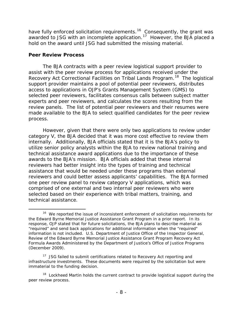have fully enforced solicitation requirements.<sup>16</sup> Consequently, the grant was awarded to JSG with an incomplete application.<sup>[17](#page-8-1)</sup> However, the BJA placed a hold on the award until JSG had submitted the missing material.

#### **Peer Review Process**

The BJA contracts with a peer review logistical support provider to assist with the peer review process for applications received under the Recovery Act Correctional Facilities on Tribal Lands Program.<sup>[18](#page-8-2)</sup> The logistical support provider maintains a pool of potential peer reviewers, distributes access to applications in OJP's Grants Management System (GMS) to selected peer reviewers, facilitates consensus calls between subject matter experts and peer reviewers, and calculates the scores resulting from the review panels. The list of potential peer reviewers and their resumes were made available to the BJA to select qualified candidates for the peer review process.

However, given that there were only two applications to review under category V, the BJA decided that it was more cost effective to review them internally. Additionally, BJA officials stated that it is the BJA's policy to utilize senior policy analysts within the BJA to review national training and technical assistance award applications due to the importance of these awards to the BJA's mission. BJA officials added that these internal reviewers had better insight into the types of training and technical assistance that would be needed under these programs than external reviewers and could better assess applicants' capabilities. The BJA formed one peer review panel to review category V applications, which was comprised of one external and two internal peer reviewers who were selected based on their experience with tribal matters, training, and technical assistance.

<span id="page-8-0"></span><sup>&</sup>lt;sup>16</sup> We reported the issue of inconsistent enforcement of solicitation requirements for the Edward Byrne Memorial Justice Assistance Grant Program in a prior report. In its response, OJP stated that for future solicitations, the BJA plans to describe material as "required" and send back applications for additional information when the "required" information is not included. U.S. Department of Justice Office of the Inspector General, *Review of the Edward Byrne Memorial Justice Assistance Grant Program Recovery Act Formula Awards Administered by the Department of Justice's Office of Justice Programs* (December 2009).

<span id="page-8-1"></span><sup>&</sup>lt;sup>17</sup> JSG failed to submit certifications related to Recovery Act reporting and infrastructure investments. These documents were required by the solicitation but were immaterial to the funding decision.

<span id="page-8-2"></span><sup>&</sup>lt;sup>18</sup> Lockheed Martin holds the current contract to provide logistical support during the peer review process.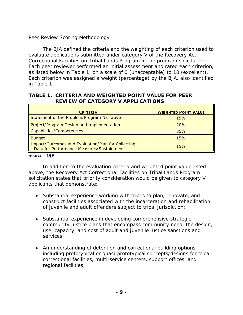# *Peer Review Scoring Methodology*

The BJA defined the criteria and the weighting of each criterion used to evaluate applications submitted under category V of the Recovery Act Correctional Facilities on Tribal Lands Program in the program solicitation. Each peer reviewer performed an initial assessment and rated each criterion, as listed below in Table 1, on a scale of 0 (unacceptable) to 10 (excellent). Each criterion was assigned a weight (percentage) by the BJA, also identified in Table 1.

#### **TABLE 1. CRITERIA AND WEIGHTED POINT VALUE FOR PEER REVIEW OF CATEGORY V APPLICATIONS**

| <b>CRITERIA</b>                                                                                 | <b>WEIGHTED POINT VALUE</b> |
|-------------------------------------------------------------------------------------------------|-----------------------------|
| Statement of the Problem/Program Narrative                                                      | 15%                         |
| Project/Program Design and Implementation                                                       | 20%                         |
| Capabilities/Competencies                                                                       | 35%                         |
| <b>Budget</b>                                                                                   | 15%                         |
| Impact/Outcomes and Evaluation/Plan for Collecting<br>Data for Performance Measures/Sustainment | 15%                         |

Source: OJP

In addition to the evaluation criteria and weighted point value listed above, the Recovery Act Correctional Facilities on Tribal Lands Program solicitation states that priority consideration would be given to category V applicants that demonstrate:

- Substantial experience working with tribes to plan, renovate, and construct facilities associated with the incarceration and rehabilitation of juvenile and adult offenders subject to tribal jurisdiction;
- Substantial experience in developing comprehensive strategic community justice plans that encompass community need, the design, use, capacity, and cost of adult and juvenile justice sanctions and services;
- An understanding of detention and correctional building options including prototypical or quasi-prototypical concepts/designs for tribal correctional facilities, multi-service centers, support offices, and regional facilities;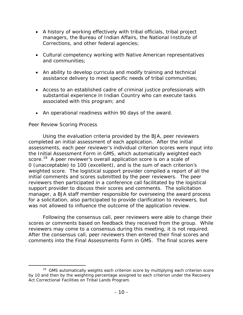- A history of working effectively with tribal officials, tribal project managers, the Bureau of Indian Affairs, the National Institute of Corrections, and other federal agencies;
- Cultural competency working with Native American representatives and communities;
- An ability to develop curricula and modify training and technical assistance delivery to meet specific needs of tribal communities;
- Access to an established cadre of criminal justice professionals with substantial experience in Indian Country who can execute tasks associated with this program; and
- An operational readiness within 90 days of the award.

# *Peer Review Scoring Process*

Using the evaluation criteria provided by the BJA, peer reviewers completed an initial assessment of each application. After the initial assessments, each peer reviewer's individual criterion scores were input into the Initial Assessment Form in GMS, which automatically weighted each score.<sup>[19](#page-10-0)</sup> A peer reviewer's overall application score is on a scale of 0 (unacceptable) to 100 (excellent), and is the sum of each criterion's weighted score. The logistical support provider compiled a report of all the initial comments and scores submitted by the peer reviewers. The peer reviewers then participated in a conference call facilitated by the logistical support provider to discuss their scores and comments. The solicitation manager, a BJA staff member responsible for overseeing the award process for a solicitation, also participated to provide clarification to reviewers, but was not allowed to influence the outcome of the application review.

Following the consensus call, peer reviewers were able to change their scores or comments based on feedback they received from the group. While reviewers may come to a consensus during this meeting, it is not required. After the consensus call, peer reviewers then entered their final scores and comments into the Final Assessments Form in GMS. The final scores were

<span id="page-10-0"></span> $19$  GMS automatically weights each criterion score by multiplying each criterion score by 10 and then by the weighting percentage assigned to each criterion under the Recovery Act Correctional Facilities on Tribal Lands Program.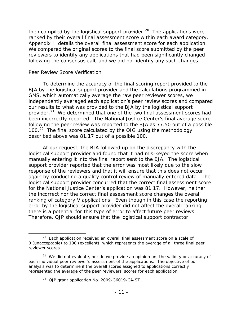then compiled by the logistical support provider.<sup>[20](#page-11-0)</sup> The applications were ranked by their overall final assessment score within each award category. Appendix II details the overall final assessment score for each application. We compared the original scores to the final score submitted by the peer reviewers to identify any applications that had been significantly changed following the consensus call, and we did not identify any such changes.

#### *Peer Review Score Verification*

To determine the accuracy of the final scoring report provided to the BJA by the logistical support provider and the calculations programmed in GMS, which automatically average the raw peer reviewer scores, we independently averaged each application's peer review scores and compared our results to what was provided to the BJA by the logistical support provider.<sup>[21](#page-11-1)</sup> We determined that one of the two final assessment scores had been incorrectly reported. The National Justice Center's final average score following the peer review was reported to the BJA as 77.50 out of a possible 100.<sup>[22](#page-11-2)</sup> The final score calculated by the OIG using the methodology described above was 81.17 out of a possible 100.

At our request, the BJA followed up on the discrepancy with the logistical support provider and found that it had mis-keyed the score when manually entering it into the final report sent to the BJA. The logistical support provider reported that the error was most likely due to the slow response of the reviewers and that it will ensure that this does not occur again by conducting a quality control review of manually entered data. The logistical support provider concurred that the correct final assessment score for the National Justice Center's application was 81.17. However, neither the incorrect nor the correct final assessment score changes the overall ranking of category V applications. Even though in this case the reporting error by the logistical support provider did not affect the overall ranking, there is a potential for this type of error to affect future peer reviews. Therefore, OJP should ensure that the logistical support contractor

<span id="page-11-0"></span><sup>&</sup>lt;sup>20</sup> Each application received an overall final assessment score on a scale of 0 (unacceptable) to 100 (excellent), which represents the average of all three final peer reviewer scores.

<span id="page-11-2"></span><span id="page-11-1"></span> $21$  We did not evaluate, nor do we provide an opinion on, the validity or accuracy of each individual peer reviewer's assessment of the applications. The objective of our analysis was to determine if the overall scores assigned to applications correctly represented the average of the peer reviewers' scores for each application.

<sup>&</sup>lt;sup>22</sup> OJP grant application No. 2009-G6019-CA-ST.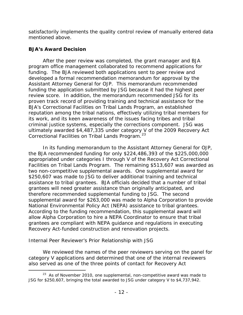satisfactorily implements the quality control review of manually entered data mentioned above.

# **BJA's Award Decision**

After the peer review was completed, the grant manager and BJA program office management collaborated to recommend applications for funding. The BJA reviewed both applications sent to peer review and developed a formal recommendation memorandum for approval by the Assistant Attorney General for OJP. This memorandum recommended funding the application submitted by JSG because it had the highest peer review score. In addition, the memorandum recommended JSG for its proven track record of providing training and technical assistance for the BJA's Correctional Facilities on Tribal Lands Program, an established reputation among the tribal nations, effectively utilizing tribal members for its work, and its keen awareness of the issues facing tribes and tribal criminal justice systems, especially the corrections component. JSG was ultimately awarded \$4,487,335 under category V of the 2009 Recovery Act Correctional Facilities on Tribal Lands Program.<sup>[23](#page-12-0)</sup>

In its funding memorandum to the Assistant Attorney General for OJP, the BJA recommended funding for only \$224,486,393 of the \$225,000,000 appropriated under categories I through V of the Recovery Act Correctional Facilities on Tribal Lands Program. The remaining \$513,607 was awarded as two non-competitive supplemental awards. One supplemental award for \$250,607 was made to JSG to deliver additional training and technical assistance to tribal grantees. BJA officials decided that a number of tribal grantees will need greater assistance than originally anticipated, and therefore recommended supplemental funding to JSG. The second supplemental award for \$263,000 was made to Alpha Corporation to provide National Environmental Policy Act (NEPA) assistance to tribal grantees. According to the funding recommendation, this supplemental award will allow Alpha Corporation to hire a NEPA Coordinator to ensure that tribal grantees are compliant with NEPA guidance and regulations in executing Recovery Act-funded construction and renovation projects.

# *Internal Peer Reviewer's Prior Relationship with JSG*

We reviewed the names of the peer reviewers serving on the panel for category V applications and determined that one of the internal reviewers also served as one of the three points of contact for Recovery Act

<span id="page-12-0"></span><sup>&</sup>lt;sup>23</sup> As of November 2010, one supplemental, non-competitive award was made to JSG for \$250,607, bringing the total awarded to JSG under category V to \$4,737,942.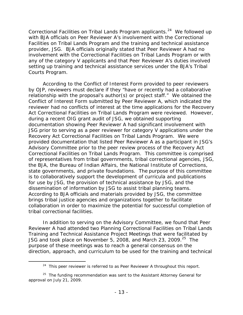Correctional Facilities on Tribal Lands Program applicants.<sup>[24](#page-13-0)</sup> We followed up with BJA officials on Peer Reviewer A's involvement with the Correctional Facilities on Tribal Lands Program and the training and technical assistance provider, JSG. BJA officials originally stated that Peer Reviewer A had no involvement with the Correctional Facilities on Tribal Lands Program or with any of the category V applicants and that Peer Reviewer A's duties involved setting up training and technical assistance services under the BJA's Tribal Courts Program.

According to the Conflict of Interest Form provided to peer reviewers by OJP, reviewers must declare if they "have or recently had a collaborative relationship with the proposal's author(s) or project staff." We obtained the Conflict of Interest Form submitted by Peer Reviewer A, which indicated the reviewer had no conflicts of interest at the time applications for the Recovery Act Correctional Facilities on Tribal Lands Program were reviewed. However, during a recent OIG grant audit of JSG, we obtained supporting documentation showing Peer Reviewer A had significant involvement with JSG prior to serving as a peer reviewer for category V applications under the Recovery Act Correctional Facilities on Tribal Lands Program. We were provided documentation that listed Peer Reviewer A as a participant in JSG's Advisory Committee prior to the peer review process of the Recovery Act Correctional Facilities on Tribal Lands Program. This committee is comprised of representatives from tribal governments, tribal correctional agencies, JSG, the BJA, the Bureau of Indian Affairs, the National Institute of Corrections, state governments, and private foundations. The purpose of this committee is to collaboratively support the development of curricula and publications for use by JSG, the provision of technical assistance by JSG, and the dissemination of information by JSG to assist tribal planning teams. According to BJA officials and materials provided by JSG, the committee brings tribal justice agencies and organizations together to facilitate collaboration in order to maximize the potential for successful completion of tribal correctional facilities.

In addition to serving on the Advisory Committee, we found that Peer Reviewer A had attended two Planning Correctional Facilities on Tribal Lands Training and Technical Assistance Project Meetings that were facilitated by JSG and took place on November 5, 2008, and March 23, 2009.<sup>[25](#page-13-1)</sup> The purpose of these meetings was to reach a general consensus on the direction, approach, and curriculum to be used for the training and technical

 $24$  This peer reviewer is referred to as Peer Reviewer A throughout this report.

<span id="page-13-1"></span><span id="page-13-0"></span> $25$  The funding recommendation was sent to the Assistant Attorney General for approval on July 21, 2009.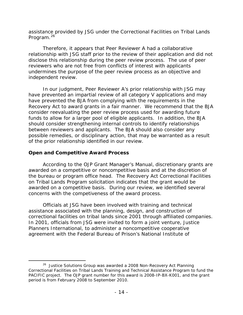assistance provided by JSG under the Correctional Facilities on Tribal Lands Program.<sup>[26](#page-14-0)</sup>

Therefore, it appears that Peer Reviewer A had a collaborative relationship with JSG staff prior to the review of their application and did not disclose this relationship during the peer review process. The use of peer reviewers who are not free from conflicts of interest with applicants undermines the purpose of the peer review process as an objective and independent review.

In our judgment, Peer Reviewer A's prior relationship with JSG may have prevented an impartial review of all category V applications and may have prevented the BJA from complying with the requirements in the Recovery Act to award grants in a fair manner. We recommend that the BJA consider reevaluating the peer review process used for awarding future funds to allow for a larger pool of eligible applicants. In addition, the BJA should consider strengthening internal controls to identify relationships between reviewers and applicants. The BJA should also consider any possible remedies, or disciplinary action, that may be warranted as a result of the prior relationship identified in our review.

# **Open and Competitive Award Process**

According to the *OJP Grant Manager's Manual*, discretionary grants are awarded on a competitive or noncompetitive basis and at the discretion of the bureau or program office head. The Recovery Act Correctional Facilities on Tribal Lands Program solicitation indicates that the grant would be awarded on a competitive basis. During our review, we identified several concerns with the competiveness of the award process.

Officials at JSG have been involved with training and technical assistance associated with the planning, design, and construction of correctional facilities on tribal lands since 2001 through affiliated companies. In 2001, officials from JSG were invited to form a joint venture, Justice Planners International, to administer a noncompetitive cooperative agreement with the Federal Bureau of Prison's National Institute of

<span id="page-14-0"></span><sup>&</sup>lt;sup>26</sup> Justice Solutions Group was awarded a 2008 Non-Recovery Act Planning Correctional Facilities on Tribal Lands Training and Technical Assistance Program to fund the PACIFIC project. The OJP grant number for this award is 2008-IP-BX-K001, and the grant period is from February 2008 to September 2010.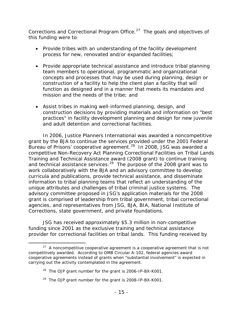Corrections and Correctional Program Office.<sup>[27](#page-15-0)</sup> The goals and objectives of this funding were to:

- Provide tribes with an understanding of the facility development process for new, renovated and/or expanded facilities;
- Provide appropriate technical assistance and introduce tribal planning team members to operational, programmatic and organizational concepts and processes that may be used during planning, design or construction of a facility to help the client plan a facility that will function as designed and in a manner that meets its mandates and mission and the needs of the tribe; and
- Assist tribes in making well-informed planning, design, and construction decisions by providing materials and information on "best practices" in facility development planning and design for new juvenile and adult detention and correctional facilities.

In 2006, Justice Planners International was awarded a noncompetitive grant by the BJA to continue the services provided under the 2001 Federal Bureau of Prisons' cooperative agreement.<sup>28</sup> In 2008, JSG was awarded a competitive Non-Recovery Act Planning Correctional Facilities on Tribal Lands Training and Technical Assistance award (2008 grant) to continue training and technical assistance services.<sup>[29](#page-15-2)</sup> The purpose of the 2008 grant was to work collaboratively with the BJA and an advisory committee to develop curricula and publications, provide technical assistance, and disseminate information to tribal planning teams that reflect an understanding of the unique attributes and challenges of tribal criminal justice systems. The advisory committee proposed in JSG's application materials for the 2008 grant is comprised of leadership from tribal government, tribal correctional agencies, and representatives from JSG, BJA, BIA, National Institute of Corrections, state government, and private foundations.

JSG has received approximately \$5.3 million in non-competitive funding since 2001 as the exclusive training and technical assistance provider for correctional facilities on tribal lands. This funding received by

<span id="page-15-2"></span><sup>29</sup> The OJP grant number for the grant is 2008-IP-BX-K001.

<span id="page-15-1"></span><span id="page-15-0"></span> $27$  A noncompetitive cooperative agreement is a cooperative agreement that is not competitively awarded. According to OMB Circular A-102, federal agencies award cooperative agreements instead of grants when "substantial involvement" is expected in carrying out the activity contemplated in the agreement.

 $28$  The OJP grant number for the grant is 2006-IP-BX-K001.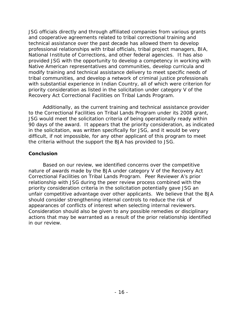JSG officials directly and through affiliated companies from various grants and cooperative agreements related to tribal correctional training and technical assistance over the past decade has allowed them to develop professional relationships with tribal officials, tribal project managers, BIA, National Institute of Corrections, and other federal agencies. It has also provided JSG with the opportunity to develop a competency in working with Native American representatives and communities, develop curricula and modify training and technical assistance delivery to meet specific needs of tribal communities, and develop a network of criminal justice professionals with substantial experience in Indian Country, all of which were criterion for priority consideration as listed in the solicitation under category V of the Recovery Act Correctional Facilities on Tribal Lands Program.

Additionally, as the current training and technical assistance provider to the Correctional Facilities on Tribal Lands Program under its 2008 grant, JSG would meet the solicitation criteria of being operationally ready within 90 days of the award. It appears that the priority consideration, as indicated in the solicitation, was written specifically for JSG, and it would be very difficult, if not impossible, for any other applicant of this program to meet the criteria without the support the BJA has provided to JSG.

## **Conclusion**

Based on our review, we identified concerns over the competitive nature of awards made by the BJA under category V of the Recovery Act Correctional Facilities on Tribal Lands Program. Peer Reviewer A's prior relationship with JSG during the peer review process combined with the priority consideration criteria in the solicitation potentially gave JSG an unfair competitive advantage over other applicants. We believe that the BJA should consider strengthening internal controls to reduce the risk of appearances of conflicts of interest when selecting internal reviewers. Consideration should also be given to any possible remedies or disciplinary actions that may be warranted as a result of the prior relationship identified in our review.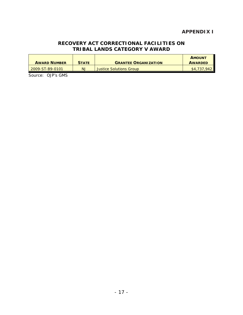# **APPENDIX I**

### **RECOVERY ACT CORRECTIONAL FACILITIES ON TRIBAL LANDS CATEGORY V AWARD**

| <b>AWARD NUMBER</b> | <b>STATE</b> | <b>GRANTEE ORGANIZATION</b>    | <b>AMOUNT</b><br><b>AWARDED</b> |
|---------------------|--------------|--------------------------------|---------------------------------|
| 2009-ST-B9-0101     | <b>NJ</b>    | <b>Justice Solutions Group</b> | \$4.737.942                     |

Source: OJP's GMS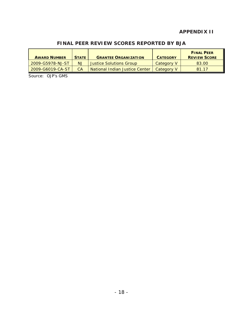# **APPENDIX II**

# **FINAL PEER REVIEW SCORES REPORTED BY BJA**

| <b>AWARD NUMBER</b> | <b>STATE</b> | <b>GRANTEE ORGANIZATION</b>    | <b>CATEGORY</b> | <b>FINAL PEER</b><br><b>REVIEW SCORE</b> |
|---------------------|--------------|--------------------------------|-----------------|------------------------------------------|
| 2009-G5978-NJ-ST    | NJ           | Justice Solutions Group        | Category V      | 83.00                                    |
| 2009-G6019-CA-ST    | CА           | National Indian Justice Center | Category V      | 81 17                                    |

Source: OJP's GMS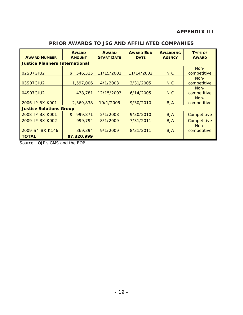| <b>AWARD NUMBER</b>            | <b>AWARD</b><br><b>AMOUNT</b>         | <b>AWARD</b><br><b>START DATE</b> | <b>AWARD END</b><br><b>DATE</b> | <b>AWARDING</b><br><b>AGENCY</b> | <b>TYPE OF</b><br><b>AWARD</b> |  |
|--------------------------------|---------------------------------------|-----------------------------------|---------------------------------|----------------------------------|--------------------------------|--|
|                                | <b>Justice Planners International</b> |                                   |                                 |                                  |                                |  |
|                                |                                       |                                   |                                 |                                  | Non-                           |  |
| 02S07GIU2                      | $\frac{1}{2}$<br>546,315              | 11/15/2001                        | 11/14/2002                      | <b>NIC</b>                       | competitive                    |  |
|                                |                                       |                                   |                                 |                                  | Non-                           |  |
| 03S07GIU2                      | 1,597,006                             | 4/1/2003                          | 3/31/2005                       | <b>NIC</b>                       | competitive                    |  |
|                                |                                       |                                   |                                 |                                  | Non-                           |  |
| 04S07GIU2                      | 438,781                               | 12/15/2003                        | 6/14/2005                       | <b>NIC</b>                       | competitive                    |  |
|                                |                                       |                                   |                                 |                                  | Non-                           |  |
| 2006-IP-BX-K001                | 2,369,838                             | 10/1/2005                         | 9/30/2010                       | <b>BJA</b>                       | competitive                    |  |
| <b>Justice Solutions Group</b> |                                       |                                   |                                 |                                  |                                |  |
| 2008-IP-BX-K001                | 999,871<br>$\mathfrak{L}$             | 2/1/2008                          | 9/30/2010                       | <b>BJA</b>                       | Competitive                    |  |
| 2009-IP-BX-K002                | 999,794                               | 8/1/2009                          | 7/31/2011                       | <b>BJA</b>                       | Competitive                    |  |
|                                |                                       |                                   |                                 |                                  | Non-                           |  |
| 2009-S4-BX-K146                | 369,394                               | 9/1/2009                          | 8/31/2011                       | <b>BJA</b>                       | competitive                    |  |
| <b>TOTAL</b>                   | \$7,320,999                           |                                   |                                 |                                  |                                |  |

# **PRIOR AWARDS TO JSG AND AFFILIATED COMPANIES**

Source: OJP's GMS and the BOP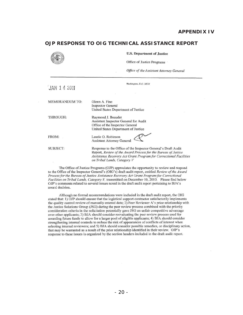#### **OJP RESPONSE TO OIG TECHNICAL ASSISTANCE REPORT**

u.s. **Department or Justice** 

| U.S. Department of Justice<br>Office of Justice Programs                                                                                                                                                                           |  |  |
|------------------------------------------------------------------------------------------------------------------------------------------------------------------------------------------------------------------------------------|--|--|
| Office of the Assistant Attorney General                                                                                                                                                                                           |  |  |
| Washington, D.C. 20531                                                                                                                                                                                                             |  |  |
|                                                                                                                                                                                                                                    |  |  |
| Glenn A. Fine<br><b>Inspector General</b><br>United States Department of Justice                                                                                                                                                   |  |  |
| Raymond J. Beaudet<br>Assistant Inspector General for Audit<br>Office of the Inspector General<br>United States Department of Justice                                                                                              |  |  |
| Laurie O. Robinson<br><b>Assistant Attorney General</b>                                                                                                                                                                            |  |  |
| Response to the Office of the Inspector General's Draft Audit<br>Report, Review of the Award Process for the Bureau of Justice<br>Assistance Recovery Act Grant Program for Correctional Facilities<br>on Tribal Lands, Category V |  |  |
|                                                                                                                                                                                                                                    |  |  |

The Office of Justice Programs (OlP) appreciates the opportunity to review and respond to the Office of the Inspector General's (OIG's) draft audit report, entitled *Review of the Award* Process for the Bureau of Justice Assistance Recovery Act Grant Program for Correctional *Facililies on Tribal Lands, Category V,* transmitted on December 10. 2010. Please find below OJP's comments related to several issues noted in the draft audit report pertaining to BJA's award decision.

Although no formal recommendations were included in the draft audit report, the OIG stated that: 1) OJP should ensure that the logistical support contractor satisfactorily implements the quality control review of manually entered data; 2) Pecr Reviewer A's prior relationship with the lustiee Solutions Group (15G) during the peer review process combined with the priority consideration criteria in the solicitation potentially gave JSG an unfair competitive advantage over other applicants; 3) BJA should consider reevaluating the pee: review process used for awarding future funds to allow for a larger pool of eligible applicants; 4) BJA should consider strengthening internal controls to reduce the risk of appearances of conflicts of interest when selecting internal reviewers; and 5) BJA should consider possible remedies, or disciplinary action, that may be warranted as a result of the prior relationship identified in their review. OJP's response to these issues is organized by the section headers included in the draft audit report.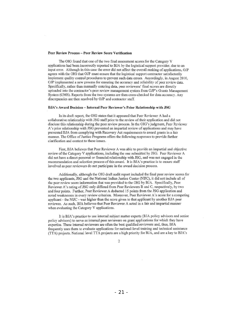#### Peer Review Process - Peer Review Score Verification

The OIG found that one of the two final assessment scores for the Category V applications had been incorrectly reported to BJA by the logistical support provider, due to an input error. Although in this case the error did not affect the overall ranking of applications, *OlP*  agrees with the OIG that OJP must ensure that the logistical support contractor satisfactorily implement quality control procedures to prevent such data errors. Accordingly, in August 2010, OJP implemented a new process for ensuring the accuracy and reliability of peer review data. Specifically, rather than manually entering data, peer reviewers' final scores are directly uploaded into the contractor's pecr review management system from *OlP's* Grants Management System (GMS). Reports from the two systems are then cross-checked for data accuracy. Any discrepancies arc then resolved by OJP and contractor staff.

#### BJA's Award Decision - Internal Peer Reviewer's Prior Relationship with JSG

In its draft report, the OIG states that it appeared that Peer Reviewer A had a collaborative relationship with JSG staff prior to the review of their application and did not disclose this relationship during the peer review process. [n the DIG's judgment, Peer Reviewer A's prior relationship with JSG prevented an impartial review of applications and may have prevented B1A from complying with Recovery Act requirements to award grants in a fair manner. The Office of Justice Programs offers the following responses to provide funher clarification and context to these issues.

First, BJA believes that Peer Reviewer A was able to provide an impartial and objective review of the Category V applications, including the one submitted by ISO. Peer Reviewer A did not have a direct personal or financial relationship with JSG, and was not engaged in the recommendation and selection process of this award. It is BJA's practice is to ensure staff involved as peer reviewers do not participate in the award decision process.

Additionally, although the DIG draft audit report included the final peer review scores for the two applicants, JSG and the National Indian Justice Center (NUC). it did not include all of the peer review score information that was provided to the OIG by BJA. Specifically, Peer Reviewer A 's rating of JSO only differed from Peer Reviewers B and C, respectively, by two and four points. Further, Peer Reviewer A deducted 15 points from the JSG application and noted weaknesses in every review criterion. Moreover, Peer Reviewer A's score for a competing applicant - the NIJC - was higher than the score given to that applicant by another BJA peer reviewer. As such, BJA believes that Peer Reviewer A acted in a fair and impartial manner when evaluating the Category V applications.

It is BJA's practice to use internal subject matter experts *(BJA policy advisors and senior* policy advisors) to serve as internal peer reviewers on grant applications for which they have expertise. These internal reviewers are often the best qualified reviewers and, thus, BJA frequently uses them to evaluate applications for national-level training and technical assistance (TTA) projects. National level TTA projects are a high priority for BJA, and are a key to BJA's

2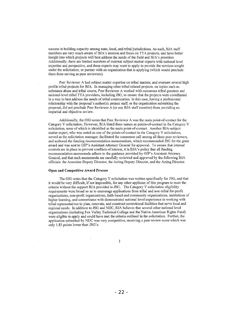success in building capacity among state, local, and tribal jurisdictions. As such. BJA staff members are very much aware of BJA's mission and focus on TTA projects, and have better insight into which projects will best address the needs of the field and BJA's priorities. Additionally, there are limited numbers of external subject matter experts with national level expertise and perspective, and these experts may want to apply to provide the services sought under the solicitation, or partner with an organization that is applying (which would preclude them from serving as peer reviewers).

Peer Reviewer A had subject matter expertise on tribal matters, and oversaw several high profile tribal projects for *BlA.* In managing other tribal related projects, on topics sueh as substance abuse and tribal courts, Peer Reviewer A worked with numerous tribal grantees and national-level tribal TTA providers, including JSG, to ensure that the projects were coordinated in a way to best address the needs of tribal communities. In this case, having a professional relationship with the proposal's author(s), project staff, or the organization submitting the proposal, did not preclude Peer Reviewer A (or any BJA staff member) from providing an impartial and objective review.

Additionally, the OIG notes that Peer Reviewer A was the main point-of-contact for the Category V solicitation. However, *BlA* listed three names as points-of-contact in the Category V solicitation, none of which is identified as the main point-of-contact. Another DlA-subject matter expert, who was noted as one of the points-of-contact in the Category V solicitation, served as the solicitation manager, facilitated the consensus call among all three peer reviewers, and authored the funding recommendation memorandum, which recommended JSG for the grant award and was sent to OJP's Assistant Attorney General for approval. To ensure that internal controls are in place to prevent conflicts of interest, it is BJA's policy that all ftmding recommendation memoranda adhere to the guidance provided by OJP's Assistant Attorney General. and that such memoranda are carefully reviewed and approved by the following *BlA*  officials: the Associate Deputy Director, the Acting Deputy Director, and the Acting Director.

#### Open and Competitive Award Process

The OIG notes that the Category V solicitation was written specifically for JSG, and that it would be very difficult, if not impossible, for any other appJican: of this program to meet the criteria without the support BJA provided to JSG. The Category V solicitation eligibility requirements were broad so as to encourage applications from tribal and non-tribal for-profit organizations, non-profit organizations, faith-based and community organizations, institutions of higher learning, and consortiums with demonstrated national level experience in working with tribal representatives to plan. renovate, and construct correctional facilities that serve local and regional needs. In addition to JSG and NlJC, BlA believes that several other national level organizations (including Fox Valley Technical College and the Native American Rights Fund) were eligible to apply and could have met the criteria outlined in the solicitation. Further, the application submitted by NIJC was very competitive, receiving a peer review score which was only 1.83 points lower than JSG's.

J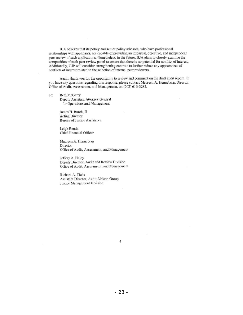BJA believes that its policy and senior policy advisors, who have professional relationships with applicants, are capable of providing an impartial, objective, and independent peer review of such applications. Nonetheless, in the future, BJA plans to closely examine the composition of each peer review panel to ensure that there is no potential for conflict of interest. Additionally, OlP will consider strengthening controls to further reduce any appearances of conflicts of interest related to the selection of internal peer reviewers.

Again, thank you for the opportunity to review and comment on the draft audit report. If you havc any questions regarding this response, please contact Maureen A. Henncberg, Director, Office of Audit, Assessmcnt, and Management, on (202) 616-3282.

cc: Beth McGarry Dcputy Assistant Attorney General

for Operations and Management

James H. Burch, II Acting Director Bureau of Justice Assistance

Leigh Benda Chief Financial Officer

Maureen A. Henneberg Director Office of Audit, Assessment, and Management

Jeffery A. Haley Deputy Director, Audit and Review Division Office of Audit, Assessment, and Management

Richard A. Theis Assistant Director, Audit Liaison Group Justice Management Division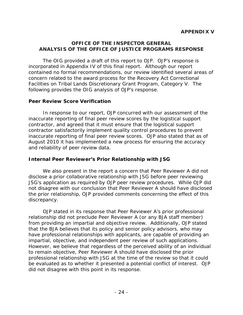#### **OFFICE OF THE INSPECTOR GENERAL ANALYSIS OF THE OFFICE OF JUSTICE PROGRAMS RESPONSE**

The OIG provided a draft of this report to OJP. OJP's response is incorporated in Appendix IV of this final report. Although our report contained no formal recommendations, our review identified several areas of concern related to the award process for the Recovery Act Correctional Facilities on Tribal Lands Discretionary Grant Program, Category V. The following provides the OIG analysis of OJP's response.

## **Peer Review Score Verification**

In response to our report, OJP concurred with our assessment of the inaccurate reporting of final peer review scores by the logistical support contractor, and agreed that it must ensure that the logistical support contractor satisfactorily implement quality control procedures to prevent inaccurate reporting of final peer review scores. OJP also stated that as of August 2010 it has implemented a new process for ensuring the accuracy and reliability of peer review data.

## **Internal Peer Reviewer's Prior Relationship with JSG**

We also present in the report a concern that Peer Reviewer A did not disclose a prior collaborative relationship with JSG before peer reviewing JSG's application as required by OJP peer review procedures. While OJP did not disagree with our conclusion that Peer Reviewer A should have disclosed the prior relationship, OJP provided comments concerning the effect of this discrepancy.

OJP stated in its response that Peer Reviewer A's prior professional relationship did not preclude Peer Reviewer A (or any BJA staff member) from providing an impartial and objective review. Additionally, OJP stated that the BJA believes that its policy and senior policy advisors, who may have professional relationships with applicants, are capable of providing an impartial, objective, and independent peer review of such applications. However, we believe that regardless of the perceived ability of an individual to remain objective, Peer Reviewer A should have disclosed the prior professional relationship with JSG at the time of the review so that it could be evaluated as to whether it presented a potential conflict of interest. OJP did not disagree with this point in its response.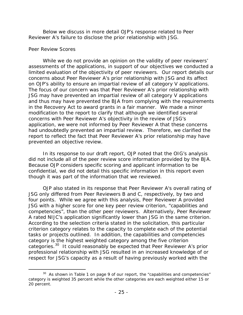Below we discuss in more detail OJP's response related to Peer Reviewer A's failure to disclose the prior relationship with JSG.

#### *Peer Review Scores*

While we do not provide an opinion on the validity of peer reviewers' assessments of the applications, in support of our objectives we conducted a limited evaluation of the objectivity of peer reviewers. Our report details our concerns about Peer Reviewer A's prior relationship with JSG and its affect on OJP's ability to ensure an impartial review of all category V applications. The focus of our concern was that Peer Reviewer A's prior relationship with JSG may have prevented an impartial review of all category V applications and thus may have prevented the BJA from complying with the requirements in the Recovery Act to award grants in a fair manner. We made a minor modification to the report to clarify that although we identified several concerns with Peer Reviewer A's objectivity in the review of JSG's application, we were not informed by Peer Reviewer A that these concerns had undoubtedly prevented an impartial review. Therefore, we clarified the report to reflect the fact that Peer Reviewer A's prior relationship may have prevented an objective review.

In its response to our draft report, OJP noted that the OIG's analysis did not include all of the peer review score information provided by the BJA. Because OJP considers specific scoring and applicant information to be confidential, we did not detail this specific information in this report even though it was part of the information that we reviewed.

OJP also stated in its response that Peer Reviewer A's overall rating of JSG only differed from Peer Reviewers B and C, respectively, by two and four points. While we agree with this analysis, Peer Reviewer A provided JSG with a higher score for one key peer review criterion, "capabilities and competencies", than the other peer reviewers. Alternatively, Peer Reviewer A rated NIJC's application significantly lower than JSG in the same criterion. According to the selection criteria stated in the solicitation, this particular criterion category relates to the capacity to complete each of the potential tasks or projects outlined. In addition, the capabilities and competencies category is the highest weighted category among the five criterion categories.<sup>[30](#page-25-0)</sup> It could reasonably be expected that Peer Reviewer A's prior professional relationship with JSG resulted in an increased knowledge of or respect for JSG's capacity as a result of having previously worked with the

<span id="page-25-0"></span> $30$  As shown in Table 1 on page 9 of our report, the "capabilities and competencies" category is weighted 35 percent while the other categories are each weighted either 15 or 20 percent.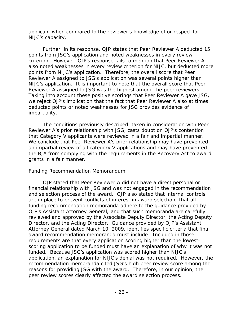applicant when compared to the reviewer's knowledge of or respect for NIJC's capacity.

Further, in its response, OJP states that Peer Reviewer A deducted 15 points from JSG's application and noted weaknesses in every review criterion. However, OJP's response fails to mention that Peer Reviewer A also noted weaknesses in every review criterion for NIJC, but deducted more points from NIJC's application. Therefore, the overall score that Peer Reviewer A assigned to JSG's application was several points higher than NIJC's application. It is important to note that the overall score that Peer Reviewer A assigned to JSG was the highest among the peer reviewers. Taking into account these positive scorings that Peer Reviewer A gave JSG, we reject OJP's implication that the fact that Peer Reviewer A also at times deducted points or noted weaknesses for JSG provides evidence of impartiality.

The conditions previously described, taken in consideration with Peer Reviewer A's prior relationship with JSG, casts doubt on OJP's contention that Category V applicants were reviewed in a fair and impartial manner. We conclude that Peer Reviewer A's prior relationship may have prevented an impartial review of all category V applications and may have prevented the BJA from complying with the requirements in the Recovery Act to award grants in a fair manner.

## *Funding Recommendation Memorandum*

OJP stated that Peer Reviewer A did not have a direct personal or financial relationship with JSG and was not engaged in the recommendation and selection process of the award. OJP also stated that internal controls are in place to prevent conflicts of interest in award selection; that all funding recommendation memoranda adhere to the guidance provided by OJP's Assistant Attorney General; and that such memoranda are carefully reviewed and approved by the Associate Deputy Director, the Acting Deputy Director, and the Acting Director. Guidance provided by OJP's Assistant Attorney General dated March 10, 2009, identifies specific criteria that final award recommendation memoranda must include. Included in those requirements are that every application scoring higher than the lowestscoring application to be funded must have an explanation of why it was not funded. Because JSG's application was scored higher than NIJC's application, an explanation for NIJC's denial was not required. However, the recommendation memoranda cited JSG's high peer review score among the reasons for providing JSG with the award. Therefore, in our opinion, the peer review scores clearly affected the award selection process.